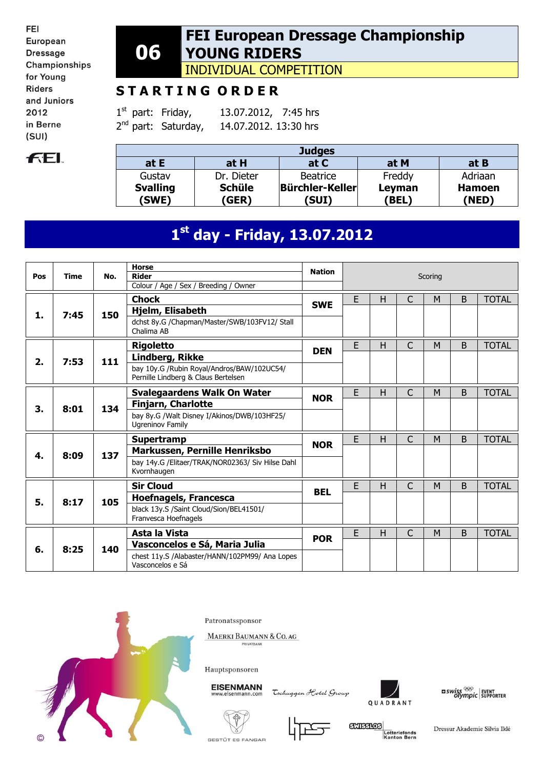FEI European **Dressage** Championships for Young **Riders** and Juniors 2012 in Berne  $(SUI)$ 



### **06 FEI European Dressage Championship YOUNG RIDERS**

INDIVIDUAL COMPETITION

# **S T A R T I N G O R D E R**

 $1<sup>st</sup>$  part: Friday, 13.07.2012, 7:45 hrs  $2^{nd}$  part: Saturday, 14.07.2012. 13:30 hrs

| <b>Judges</b>            |                        |                          |                 |                        |  |  |  |  |  |
|--------------------------|------------------------|--------------------------|-----------------|------------------------|--|--|--|--|--|
| at E                     | at H                   | at C                     | at M            | at B                   |  |  |  |  |  |
| Gustav                   | Dr. Dieter             | <b>Beatrice</b>          | Freddy          | Adriaan                |  |  |  |  |  |
| <b>Svalling</b><br>(SWE) | <b>Schüle</b><br>(GER) | Bürchler-Keller<br>(SUI) | Leyman<br>(BEL) | <b>Hamoen</b><br>(NED) |  |  |  |  |  |

# **1 st day - Friday, 13.07.2012**

|     |             |     | <b>Horse</b>                                                                      | <b>Nation</b> |   |   |              |         |   |              |
|-----|-------------|-----|-----------------------------------------------------------------------------------|---------------|---|---|--------------|---------|---|--------------|
| Pos | <b>Time</b> | No. | <b>Rider</b><br>Colour / Age / Sex / Breeding / Owner                             |               |   |   |              | Scoring |   |              |
|     |             |     | <b>Chock</b>                                                                      |               | E | н | C            | M       | B | <b>TOTAL</b> |
| 1.  | 7:45        | 150 | Hjelm, Elisabeth                                                                  | <b>SWE</b>    |   |   |              |         |   |              |
|     |             |     | dchst 8y.G /Chapman/Master/SWB/103FV12/ Stall<br>Chalima AB                       |               |   |   |              |         |   |              |
|     |             |     | <b>Rigoletto</b>                                                                  | <b>DEN</b>    | E | н | C            | M       | B | <b>TOTAL</b> |
| 2.  | 7:53        | 111 | <b>Lindberg, Rikke</b>                                                            |               |   |   |              |         |   |              |
|     |             |     | bay 10y.G /Rubin Royal/Andros/BAW/102UC54/<br>Pernille Lindberg & Claus Bertelsen |               |   |   |              |         |   |              |
|     |             |     | <b>Svalegaardens Walk On Water</b>                                                | <b>NOR</b>    | E | H | C            | M       | B | <b>TOTAL</b> |
| 3.  | 8:01        | 134 | <b>Finjarn, Charlotte</b>                                                         |               |   |   |              |         |   |              |
|     |             |     | bay 8y.G /Walt Disney I/Akinos/DWB/103HF25/<br><b>Ugreninov Family</b>            |               |   |   |              |         |   |              |
|     |             |     | Supertramp                                                                        | <b>NOR</b>    | E | Н | C            | M       | B | TOTAL        |
| 4.  | 8:09        | 137 | Markussen, Pernille Henriksbo                                                     |               |   |   |              |         |   |              |
|     |             |     | bay 14y.G /Elitaer/TRAK/NOR02363/ Siv Hilse Dahl<br>Kvornhaugen                   |               |   |   |              |         |   |              |
|     |             |     | <b>Sir Cloud</b>                                                                  | <b>BEL</b>    | E | Н | $\mathsf{C}$ | M       | B | <b>TOTAL</b> |
| 5.  | 8:17        | 105 | <b>Hoefnagels, Francesca</b>                                                      |               |   |   |              |         |   |              |
|     |             |     | black 13y.S /Saint Cloud/Sion/BEL41501/<br>Franvesca Hoefnagels                   |               |   |   |              |         |   |              |
|     |             |     | Asta la Vista                                                                     | <b>POR</b>    | E | H | $\mathsf{C}$ | M       | B | TOTAL        |
| 6.  | 8:25        | 140 | Vasconcelos e Sá, Maria Julia                                                     |               |   |   |              |         |   |              |
|     |             |     | chest 11y.S /Alabaster/HANN/102PM99/ Ana Lopes<br>Vasconcelos e Sá                |               |   |   |              |         |   |              |



Patronatssponsor

MAERKI BAUMANN & CO. AG



**EISENMANN** 

Tschuggen Hotel Group



 $\frac{1}{2}$  swiss  $\frac{1}{2}$  event of supporter







Dressur Akademie Silvia Iklé

GESTÜT ES FANGAR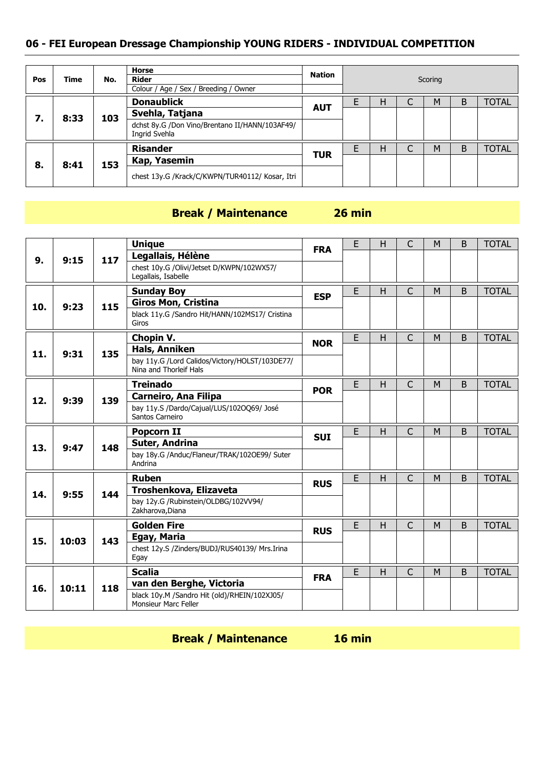| Pos | <b>Time</b> | No. | <b>Horse</b><br><b>Rider</b><br>Colour / Age / Sex / Breeding / Owner | Nation     | Scoring |   |   |   |   |              |
|-----|-------------|-----|-----------------------------------------------------------------------|------------|---------|---|---|---|---|--------------|
|     |             |     | <b>Donaublick</b>                                                     |            |         | н | C | M | B | <b>TOTAL</b> |
|     | 8:33<br>7.  | 103 | Svehla, Tatjana                                                       | <b>AUT</b> |         |   |   |   |   |              |
|     |             |     | dchst 8y.G /Don Vino/Brentano II/HANN/103AF49/<br>Ingrid Svehla       |            |         |   |   |   |   |              |
|     |             |     | <b>Risander</b>                                                       |            |         | н |   | M | B | <b>TOTAL</b> |
| 8.  | 8:41        | 153 | Kap, Yasemin                                                          | <b>TUR</b> |         |   |   |   |   |              |
|     |             |     | chest 13y.G /Krack/C/KWPN/TUR40112/ Kosar, Itri                       |            |         |   |   |   |   |              |

### **Break / Maintenance 26 min**

|     |       |     | <b>Unique</b>                                                            |            | E | H | C              | M | B | <b>TOTAL</b> |
|-----|-------|-----|--------------------------------------------------------------------------|------------|---|---|----------------|---|---|--------------|
| 9.  | 9:15  | 117 | Legallais, Hélène                                                        | <b>FRA</b> |   |   |                |   |   |              |
|     |       |     | chest 10y.G /Olivi/Jetset D/KWPN/102WX57/<br>Legallais, Isabelle         |            |   |   |                |   |   |              |
|     |       |     | <b>Sunday Boy</b>                                                        |            | E | H | $\overline{C}$ | M | B | <b>TOTAL</b> |
| 10. | 9:23  | 115 | <b>Giros Mon, Cristina</b>                                               | <b>ESP</b> |   |   |                |   |   |              |
|     |       |     | black 11y.G /Sandro Hit/HANN/102MS17/ Cristina<br>Giros                  |            |   |   |                |   |   |              |
|     |       |     | Chopin V.                                                                |            | E | н | C              | M | B | <b>TOTAL</b> |
| 11. | 9:31  | 135 | <b>Hals, Anniken</b>                                                     | <b>NOR</b> |   |   |                |   |   |              |
|     |       |     | bay 11y.G /Lord Calidos/Victory/HOLST/103DE77/<br>Nina and Thorleif Hals |            |   |   |                |   |   |              |
|     |       |     | <b>Treinado</b>                                                          |            | E | H | $\mathsf{C}$   | M | B | <b>TOTAL</b> |
| 12. |       | 139 | <b>Carneiro, Ana Filipa</b>                                              | <b>POR</b> |   |   |                |   |   |              |
|     | 9:39  |     | bay 11y.S /Dardo/Cajual/LUS/102OQ69/ José<br>Santos Carneiro             |            |   |   |                |   |   |              |
|     |       |     |                                                                          |            |   |   |                |   |   |              |
|     |       |     | <b>Popcorn II</b>                                                        |            | E | H | $\mathsf{C}$   | M | B | <b>TOTAL</b> |
|     |       |     | Suter, Andrina                                                           | <b>SUI</b> |   |   |                |   |   |              |
| 13. | 9:47  | 148 | bay 18y.G /Anduc/Flaneur/TRAK/102OE99/ Suter<br>Andrina                  |            |   |   |                |   |   |              |
|     |       |     | <b>Ruben</b>                                                             |            | E | H | $\overline{C}$ | M | B | <b>TOTAL</b> |
|     |       |     | Troshenkova, Elizaveta                                                   | <b>RUS</b> |   |   |                |   |   |              |
| 14. | 9:55  | 144 | bay 12y.G /Rubinstein/OLDBG/102VV94/<br>Zakharova, Diana                 |            |   |   |                |   |   |              |
|     |       |     | <b>Golden Fire</b>                                                       |            | E | H | $\overline{C}$ | M | B | <b>TOTAL</b> |
|     |       |     | Egay, Maria                                                              | <b>RUS</b> |   |   |                |   |   |              |
| 15. | 10:03 | 143 | chest 12y.S /Zinders/BUDJ/RUS40139/ Mrs.Irina<br>Egay                    |            |   |   |                |   |   |              |
|     |       |     | <b>Scalia</b>                                                            |            | E | H | $\overline{C}$ | M | B | <b>TOTAL</b> |
| 16. | 10:11 | 118 | van den Berghe, Victoria                                                 | <b>FRA</b> |   |   |                |   |   |              |

**Break / Maintenance 16 min**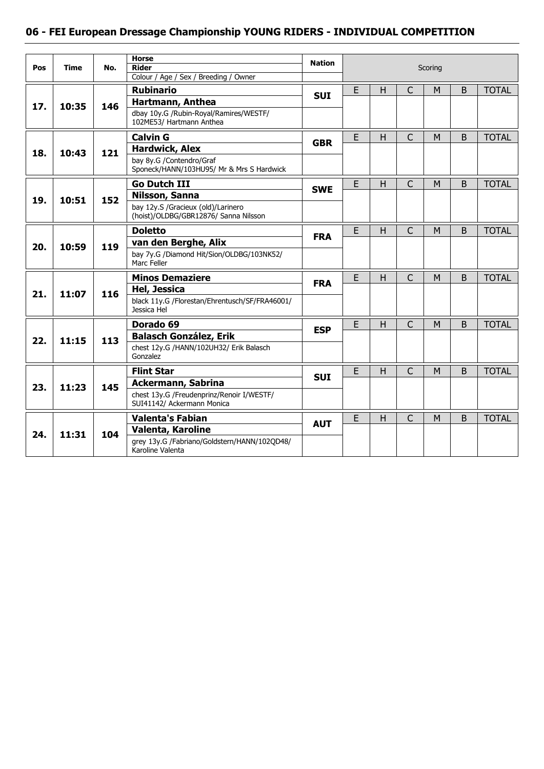| Pos | <b>Time</b> | No. | <b>Horse</b><br><b>Rider</b>                                                | <b>Nation</b> |   |    |                | Scoring |              |              |
|-----|-------------|-----|-----------------------------------------------------------------------------|---------------|---|----|----------------|---------|--------------|--------------|
|     |             |     | Colour / Age / Sex / Breeding / Owner                                       |               |   |    |                |         |              |              |
|     |             |     | <b>Rubinario</b>                                                            | <b>SUI</b>    | E | H  | $\mathsf{C}$   | M       | <sub>B</sub> | <b>TOTAL</b> |
| 17. | 10:35       | 146 | Hartmann, Anthea                                                            |               |   |    |                |         |              |              |
|     |             |     | dbay 10y.G /Rubin-Royal/Ramires/WESTF/<br>102ME53/ Hartmann Anthea          |               |   |    |                |         |              |              |
|     |             |     | <b>Calvin G</b>                                                             | <b>GBR</b>    | E | H. | $\mathsf{C}$   | M       | B            | <b>TOTAL</b> |
| 18. | 10:43       | 121 | <b>Hardwick, Alex</b>                                                       |               |   |    |                |         |              |              |
|     |             |     | bay 8y.G /Contendro/Graf<br>Sponeck/HANN/103HU95/ Mr & Mrs S Hardwick       |               |   |    |                |         |              |              |
|     |             |     | <b>Go Dutch III</b>                                                         | <b>SWE</b>    | E | H  | $\mathsf{C}$   | M       | B            | <b>TOTAL</b> |
| 19. | 10:51       | 152 | Nilsson, Sanna                                                              |               |   |    |                |         |              |              |
|     |             |     | bay 12y.S /Gracieux (old)/Larinero<br>(hoist)/OLDBG/GBR12876/ Sanna Nilsson |               |   |    |                |         |              |              |
|     |             |     | <b>Doletto</b>                                                              | <b>FRA</b>    | E | H  | $\overline{C}$ | M       | <sub>B</sub> | <b>TOTAL</b> |
| 20. | 10:59       | 119 | van den Berghe, Alix                                                        |               |   |    |                |         |              |              |
|     |             |     | bay 7y.G /Diamond Hit/Sion/OLDBG/103NK52/<br>Marc Feller                    |               |   |    |                |         |              |              |
|     |             |     | <b>Minos Demaziere</b>                                                      | <b>FRA</b>    | E | H. | $\mathsf{C}$   | M       | B            | <b>TOTAL</b> |
| 21. | 11:07       | 116 | Hel, Jessica                                                                |               |   |    |                |         |              |              |
|     |             |     | black 11y.G /Florestan/Ehrentusch/SF/FRA46001/<br>Jessica Hel               |               |   |    |                |         |              |              |
|     |             |     | Dorado 69                                                                   | <b>ESP</b>    | E | Η  | $\mathsf C$    | M       | B            | <b>TOTAL</b> |
| 22. | 11:15       | 113 | <b>Balasch González, Erik</b>                                               |               |   |    |                |         |              |              |
|     |             |     | chest 12y.G /HANN/102UH32/ Erik Balasch<br>Gonzalez                         |               |   |    |                |         |              |              |
|     |             |     | <b>Flint Star</b>                                                           | <b>SUI</b>    | E | H  | $\overline{C}$ | M       | B            | <b>TOTAL</b> |
| 23. | 11:23       | 145 | <b>Ackermann, Sabrina</b>                                                   |               |   |    |                |         |              |              |
|     |             |     | chest 13y.G /Freudenprinz/Renoir I/WESTF/<br>SUI41142/ Ackermann Monica     |               |   |    |                |         |              |              |
|     |             |     | <b>Valenta's Fabian</b>                                                     |               | Е | H  | C              | M       | B            | <b>TOTAL</b> |
| 24. | 11:31       | 104 | <b>Valenta, Karoline</b>                                                    | <b>AUT</b>    |   |    |                |         |              |              |
|     |             |     | grey 13y.G /Fabriano/Goldstern/HANN/102QD48/<br>Karoline Valenta            |               |   |    |                |         |              |              |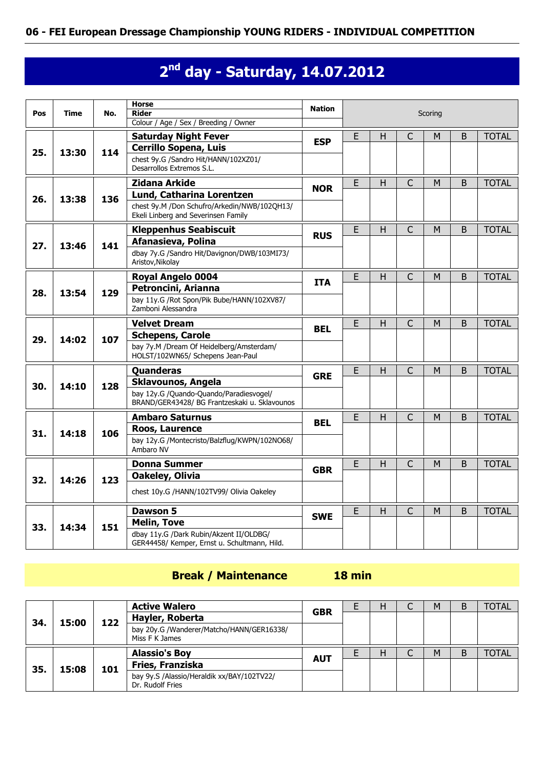# **2 nd day - Saturday, 14.07.2012**

| Pos | Time  | No. | <b>Horse</b><br><b>Rider</b><br>Colour / Age / Sex / Breeding / Owner                    | <b>Nation</b> |                  |              |                | Scoring      |             |              |
|-----|-------|-----|------------------------------------------------------------------------------------------|---------------|------------------|--------------|----------------|--------------|-------------|--------------|
|     |       |     |                                                                                          |               | E                |              |                |              |             | <b>TOTAL</b> |
|     |       |     | <b>Saturday Night Fever</b><br><b>Cerrillo Sopena, Luis</b>                              | <b>ESP</b>    |                  | Н            | C              | M            | B           |              |
| 25. | 13:30 | 114 | chest 9y.G /Sandro Hit/HANN/102XZ01/<br>Desarrollos Extremos S.L.                        |               |                  |              |                |              |             |              |
|     |       |     | <b>Zidana Arkide</b>                                                                     | <b>NOR</b>    | E.               | н            | C              | м            | B           | <b>TOTAL</b> |
| 26. | 13:38 | 136 | <b>Lund, Catharina Lorentzen</b>                                                         |               |                  |              |                |              |             |              |
|     |       |     | chest 9y.M /Don Schufro/Arkedin/NWB/102OH13/<br>Ekeli Linberg and Severinsen Family      |               |                  |              |                |              |             |              |
|     |       |     | <b>Kleppenhus Seabiscuit</b>                                                             | <b>RUS</b>    | E                | H            | $\overline{C}$ | M            | B           | <b>TOTAL</b> |
| 27. | 13:46 | 141 | Afanasieva, Polina                                                                       |               |                  |              |                |              |             |              |
|     |       |     | dbay 7y.G /Sandro Hit/Davignon/DWB/103MI73/<br>Aristov, Nikolay                          |               |                  |              |                |              |             |              |
|     |       |     | <b>Royal Angelo 0004</b>                                                                 | <b>ITA</b>    | E                | $\mathsf{H}$ | C              | м            | B           | <b>TOTAL</b> |
| 28. | 13:54 | 129 | Petroncini, Arianna                                                                      |               |                  |              |                |              |             |              |
|     |       |     | bay 11y.G /Rot Spon/Pik Bube/HANN/102XV87/<br>Zamboni Alessandra                         |               |                  |              |                |              |             |              |
|     |       |     | <b>Velvet Dream</b>                                                                      | <b>BEL</b>    | E<br>H<br>C<br>M |              | B              | <b>TOTAL</b> |             |              |
| 29. | 14:02 | 107 | <b>Schepens, Carole</b>                                                                  |               |                  |              |                |              |             |              |
|     |       |     | bay 7y.M /Dream Of Heidelberg/Amsterdam/<br>HOLST/102WN65/ Schepens Jean-Paul            |               |                  |              |                |              |             |              |
|     |       |     | Quanderas                                                                                | <b>GRE</b>    | $\overline{E}$   | H            | $\overline{C}$ | M            | B           | <b>TOTAL</b> |
| 30. | 14:10 | 128 | Sklavounos, Angela                                                                       |               |                  |              |                |              |             |              |
|     |       |     | bay 12y.G /Quando-Quando/Paradiesvogel/<br>BRAND/GER43428/ BG Frantzeskaki u. Sklavounos |               |                  |              |                |              |             |              |
|     |       |     | <b>Ambaro Saturnus</b>                                                                   | <b>BEL</b>    | E                | H            | $\overline{C}$ | M            | B           | <b>TOTAL</b> |
| 31. | 14:18 | 106 | Roos, Laurence                                                                           |               |                  |              |                |              |             |              |
|     |       |     | bay 12y.G /Montecristo/Balzflug/KWPN/102NO68/<br>Ambaro NV                               |               |                  |              |                |              |             |              |
|     |       |     | <b>Donna Summer</b>                                                                      | <b>GBR</b>    | E                | H            | $\mathsf{C}$   | M            | $\mathsf B$ | <b>TOTAL</b> |
| 32. | 14:26 | 123 | Oakeley, Olivia                                                                          |               |                  |              |                |              |             |              |
|     |       |     | chest 10y.G /HANN/102TV99/ Olivia Oakeley                                                |               |                  |              |                |              |             |              |
|     |       |     | <b>Dawson 5</b>                                                                          | <b>SWE</b>    | E                | H            | $\mathsf{C}$   | м            | B           | <b>TOTAL</b> |
| 33. | 14:34 | 151 | <b>Melin, Tove</b>                                                                       |               |                  |              |                |              |             |              |
|     |       |     | dbay 11y.G /Dark Rubin/Akzent II/OLDBG/<br>GER44458/ Kemper, Ernst u. Schultmann, Hild.  |               |                  |              |                |              |             |              |

### **Break / Maintenance 18 min**

|     |                     |                                                             | <b>Active Walero</b> | <b>GBR</b> | н | М | B | <b>TOTAL</b> |
|-----|---------------------|-------------------------------------------------------------|----------------------|------------|---|---|---|--------------|
|     |                     |                                                             | Hayler, Roberta      |            |   |   |   |              |
|     | 122<br>15:00<br>34. | bay 20y.G /Wanderer/Matcho/HANN/GER16338/<br>Miss F K James |                      |            |   |   |   |              |
|     |                     |                                                             |                      |            |   |   |   |              |
|     |                     |                                                             | <b>Alassio's Boy</b> |            | H | M | B | <b>TOTAL</b> |
| 35. | 15:08               | 101                                                         | Fries, Franziska     | <b>AUT</b> |   |   |   |              |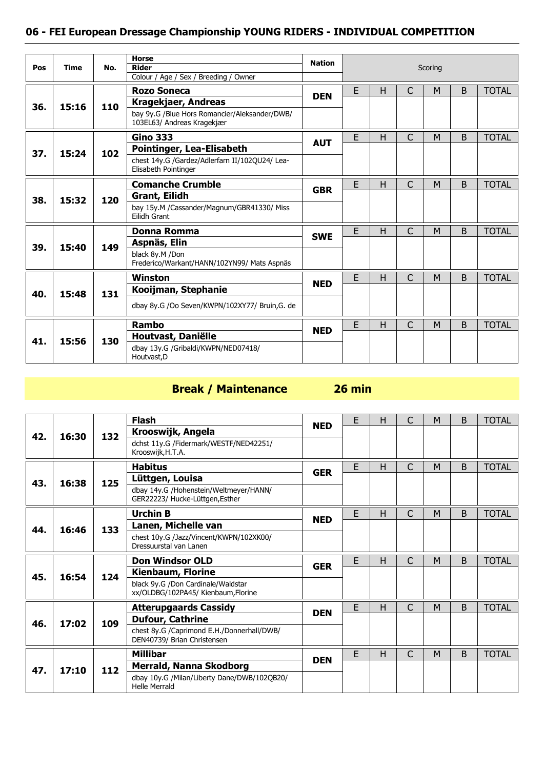| Pos | <b>Time</b> | No. | <b>Horse</b><br><b>Rider</b>                                                | <b>Nation</b> |   |   |              | Scoring |   |              |
|-----|-------------|-----|-----------------------------------------------------------------------------|---------------|---|---|--------------|---------|---|--------------|
|     |             |     | Colour / Age / Sex / Breeding / Owner                                       |               |   |   |              |         |   |              |
|     |             |     | <b>Rozo Soneca</b>                                                          | <b>DEN</b>    | E | H | $\mathsf{C}$ | M       | B | <b>TOTAL</b> |
| 36. | 15:16       | 110 | Kragekjaer, Andreas                                                         |               |   |   |              |         |   |              |
|     |             |     | bay 9y.G /Blue Hors Romancier/Aleksander/DWB/<br>103EL63/ Andreas Kragekjær |               |   |   |              |         |   |              |
|     |             |     | <b>Gino 333</b>                                                             |               | E | H | $\mathsf{C}$ | M       | B | <b>TOTAL</b> |
| 37. | 15:24       | 102 | Pointinger, Lea-Elisabeth                                                   | <b>AUT</b>    |   |   |              |         |   |              |
|     |             |     | chest 14y.G /Gardez/Adlerfarn II/102QU24/ Lea-<br>Elisabeth Pointinger      |               |   |   |              |         |   |              |
|     |             |     | <b>Comanche Crumble</b>                                                     |               | E | H | $\mathsf{C}$ | M       | B | <b>TOTAL</b> |
| 38. | 15:32       | 120 | <b>Grant, Eilidh</b>                                                        | <b>GBR</b>    |   |   |              |         |   |              |
|     |             |     | bay 15y.M /Cassander/Magnum/GBR41330/ Miss<br>Eilidh Grant                  |               |   |   |              |         |   |              |
|     |             |     | Donna Romma                                                                 |               | E | H | C            | M       | B | <b>TOTAL</b> |
| 39. | 15:40       | 149 | Aspnäs, Elin                                                                | <b>SWE</b>    |   |   |              |         |   |              |
|     |             |     | black 8y.M /Don<br>Frederico/Warkant/HANN/102YN99/ Mats Aspnäs              |               |   |   |              |         |   |              |
|     |             |     | <b>Winston</b>                                                              | <b>NED</b>    | E | Н | C            | M       | B | <b>TOTAL</b> |
| 40. | 15:48       | 131 | Kooijman, Stephanie                                                         |               |   |   |              |         |   |              |
|     |             |     | dbay 8y.G /Oo Seven/KWPN/102XY77/ Bruin,G. de                               |               |   |   |              |         |   |              |
|     |             |     | <b>Rambo</b>                                                                | <b>NED</b>    | E | Н | C            | M       | B | <b>TOTAL</b> |
| 41. | 15:56       | 130 | Houtvast, Daniëlle                                                          |               |   |   |              |         |   |              |
|     |             |     | dbay 13y.G /Gribaldi/KWPN/NED07418/<br>Houtvast, D                          |               |   |   |              |         |   |              |

# **Break / Maintenance 26 min**

|     |       |     | <b>Flash</b>                                                              | <b>NED</b> | E | H | C | М | B            | <b>TOTAL</b> |
|-----|-------|-----|---------------------------------------------------------------------------|------------|---|---|---|---|--------------|--------------|
| 42. | 16:30 | 132 | Krooswijk, Angela                                                         |            |   |   |   |   |              |              |
|     |       |     | dchst 11y.G /Fidermark/WESTF/NED42251/<br>Krooswijk, H.T.A.               |            |   |   |   |   |              |              |
|     |       |     | <b>Habitus</b>                                                            | <b>GER</b> | E | H | Ċ | М | B            | <b>TOTAL</b> |
| 43. | 16:38 | 125 | Lüttgen, Louisa                                                           |            |   |   |   |   |              |              |
|     |       |     | dbay 14y.G /Hohenstein/Weltmeyer/HANN/<br>GER22223/ Hucke-Lüttgen, Esther |            |   |   |   |   |              |              |
|     |       |     | <b>Urchin B</b>                                                           |            | E | H | C | M | B            | <b>TOTAL</b> |
| 44. | 16:46 | 133 | Lanen, Michelle van                                                       | <b>NED</b> |   |   |   |   |              |              |
|     |       |     | chest 10y.G /Jazz/Vincent/KWPN/102XK00/<br>Dressuurstal van Lanen         |            |   |   |   |   |              |              |
|     |       |     | <b>Don Windsor OLD</b>                                                    | <b>GER</b> | E | H | C | M | B            | <b>TOTAL</b> |
| 45. | 16:54 | 124 | Kienbaum, Florine                                                         |            |   |   |   |   |              |              |
|     |       |     | black 9y.G /Don Cardinale/Waldstar<br>xx/OLDBG/102PA45/ Kienbaum, Florine |            |   |   |   |   |              |              |
|     |       |     | <b>Atterupgaards Cassidy</b>                                              |            | E | Н | C | M | <sub>B</sub> | <b>TOTAL</b> |
| 46. | 17:02 | 109 | <b>Dufour, Cathrine</b>                                                   | <b>DEN</b> |   |   |   |   |              |              |
|     |       |     | chest 8y.G /Caprimond E.H./Donnerhall/DWB/<br>DEN40739/ Brian Christensen |            |   |   |   |   |              |              |
|     |       |     | <b>Millibar</b>                                                           |            | E | H | Ċ | M | B            | <b>TOTAL</b> |
| 47. | 17:10 | 112 | Merrald, Nanna Skodborg                                                   | <b>DEN</b> |   |   |   |   |              |              |
|     |       |     | dbay 10y.G /Milan/Liberty Dane/DWB/102QB20/<br><b>Helle Merrald</b>       |            |   |   |   |   |              |              |